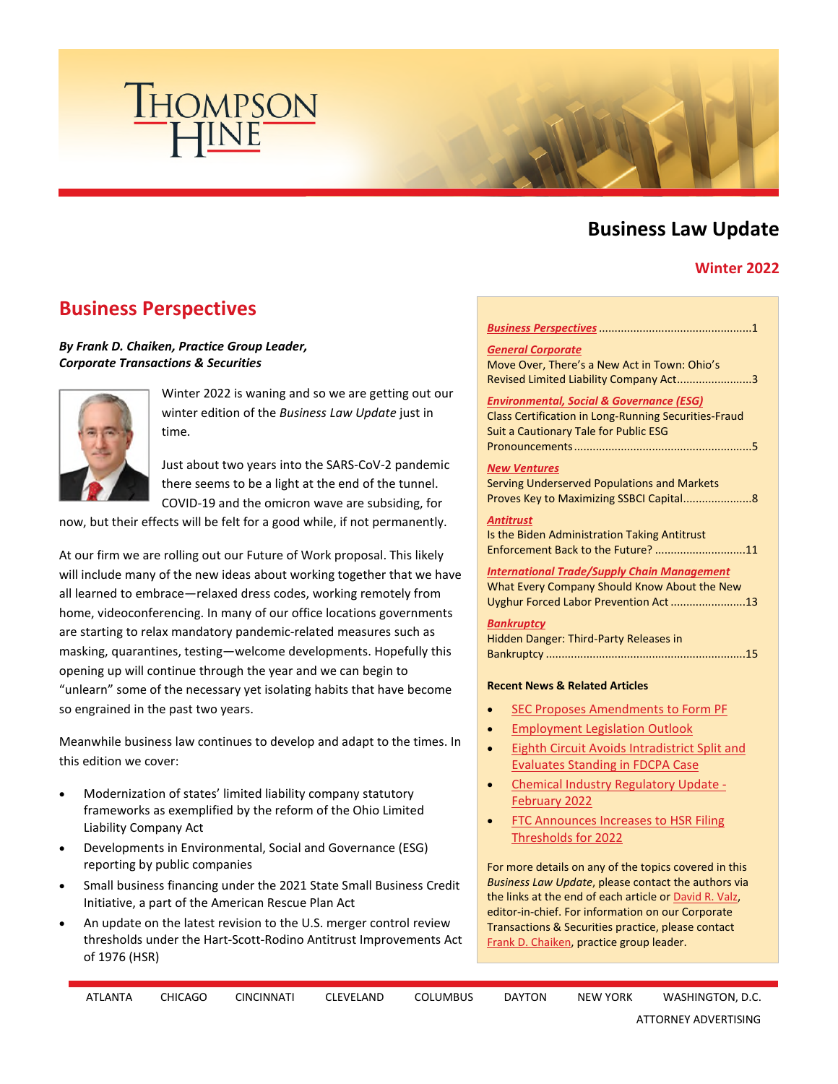

# **Business Law Update**

## **Winter 2022**

# <span id="page-0-0"></span>**Business Perspectives**

### *By Frank D. Chaiken, Practice Group Leader, Corporate Transactions & Securities*



Winter 2022 is waning and so we are getting out our winter edition of the *Business Law Update* just in time.

Just about two years into the SARS-CoV-2 pandemic there seems to be a light at the end of the tunnel. COVID-19 and the omicron wave are subsiding, for

now, but their effects will be felt for a good while, if not permanently.

At our firm we are rolling out our Future of Work proposal. This likely will include many of the new ideas about working together that we have all learned to embrace—relaxed dress codes, working remotely from home, videoconferencing. In many of our office locations governments are starting to relax mandatory pandemic-related measures such as masking, quarantines, testing—welcome developments. Hopefully this opening up will continue through the year and we can begin to "unlearn" some of the necessary yet isolating habits that have become so engrained in the past two years.

Meanwhile business law continues to develop and adapt to the times. In this edition we cover:

- Modernization of states' limited liability company statutory frameworks as exemplified by the reform of the Ohio Limited Liability Company Act
- Developments in Environmental, Social and Governance (ESG) reporting by public companies
- Small business financing under the 2021 State Small Business Credit Initiative, a part of the American Rescue Plan Act
- An update on the latest revision to the U.S. merger control review thresholds under the Hart-Scott-Rodino Antitrust Improvements Act of 1976 (HSR)

#### *[Business Perspectives](#page-0-0)* .................................................1

*[General Corporate](#page-2-0)* Move Over, There's a New Act in Town: Ohio's Revised Limited Liability Company Act........................3

#### *[Environmental, Social & Governance \(ESG\)](#page-4-0)*

Class Certification in Long-Running Securities-Fraud Suit a Cautionary Tale for Public ESG Pronouncements .........................................................5

#### *[New Ventures](#page-7-0)*

| Serving Underserved Populations and Markets |
|---------------------------------------------|
|                                             |

*[Antitrust](#page-10-0)*

Is the Biden Administration Taking Antitrust Enforcement Back to the Future? .............................11

*[International Trade/Supply Chain Management](#page-12-0)* What Every Company Should Know About the New Uyghur Forced Labor Prevention Act ........................13

#### *[Bankruptcy](#page-14-0)*

| <b>Hidden Danger: Third-Party Releases in</b> |
|-----------------------------------------------|
|                                               |

#### **Recent News & Related Articles**

- [SEC Proposes Amendments to Form PF](https://www.thompsonhine.com/publications/sec-proposes-amendments-to-form-pf)
- [Employment Legislation Outlook](https://www.thompsonhine.com/publications/employment-legislation-outlook---march-2022)
- [Eighth Circuit Avoids Intradistrict Split and](https://www.thompsonhine.com/publications/eighth-circuit-avoids-intradistrict-split-and-evaluates-standing-in-fdcpa-case)  [Evaluates Standing in FDCPA Case](https://www.thompsonhine.com/publications/eighth-circuit-avoids-intradistrict-split-and-evaluates-standing-in-fdcpa-case)
- [Chemical Industry Regulatory Update](https://www.thompsonhine.com/publications/chemical-industry-regulatory-update---february-2022)  [February 2022](https://www.thompsonhine.com/publications/chemical-industry-regulatory-update---february-2022)
- [FTC Announces Increases to HSR Filing](https://www.thompsonhine.com/publications/ftc-announces-increases-to-hsr-filing-thresholds-for-2022)  [Thresholds for 2022](https://www.thompsonhine.com/publications/ftc-announces-increases-to-hsr-filing-thresholds-for-2022)

For more details on any of the topics covered in this *Business Law Update*, please contact the authors via the links at the end of each article or [David R. Valz](http://www.thompsonhine.com/professionals/valz-david), editor-in-chief. For information on our Corporate Transactions & Securities practice, please contact [Frank D. Chaiken](http://www.thompsonhine.com/professionals/chaiken-frank), practice group leader.

| ATLANTA | <b>CHICAGO</b><br>_____ | <b>CINCINNATI</b> | <b>CLEVELAND</b> | <b>COLUMBUS</b><br>_ _ _ _ | <b>DAYTON</b><br>$\sim$ $\sim$ | <b>NEW YORK</b> | WASHINGTON, D.C.<br>_________ |
|---------|-------------------------|-------------------|------------------|----------------------------|--------------------------------|-----------------|-------------------------------|
|---------|-------------------------|-------------------|------------------|----------------------------|--------------------------------|-----------------|-------------------------------|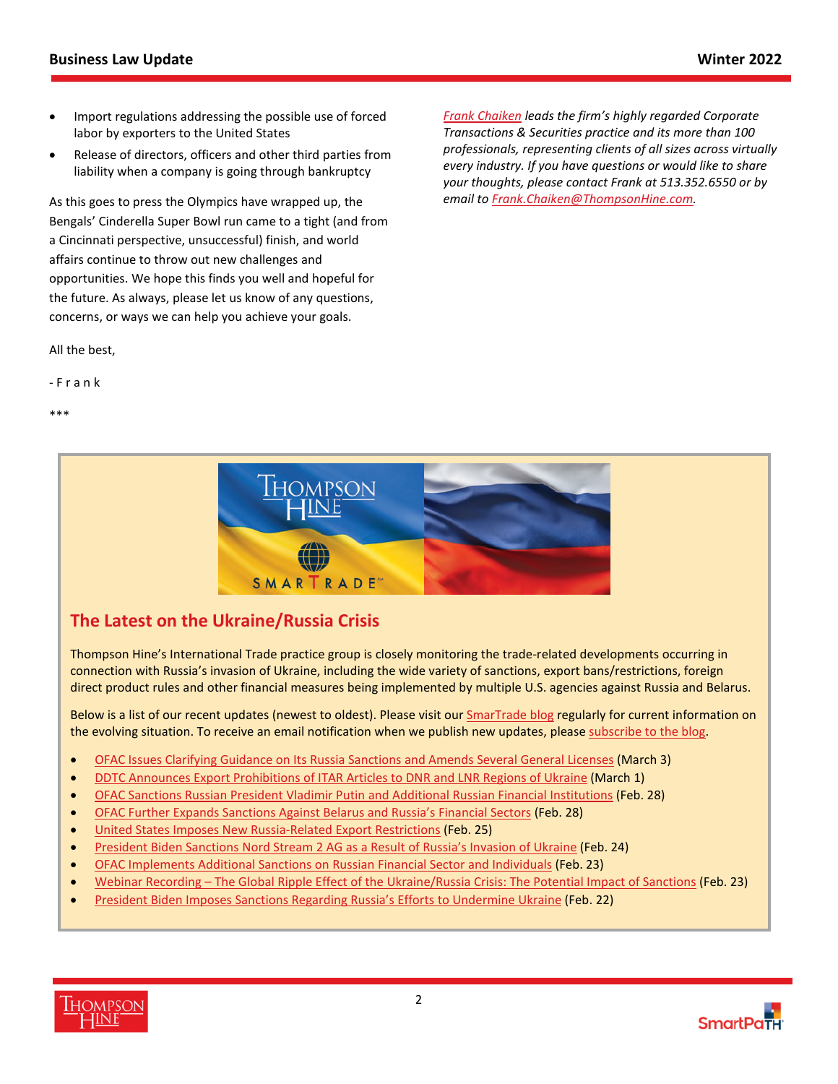- Import regulations addressing the possible use of forced labor by exporters to the United States
- Release of directors, officers and other third parties from liability when a company is going through bankruptcy

As this goes to press the Olympics have wrapped up, the Bengals' Cinderella Super Bowl run came to a tight (and from a Cincinnati perspective, unsuccessful) finish, and world affairs continue to throw out new challenges and opportunities. We hope this finds you well and hopeful for the future. As always, please let us know of any questions, concerns, or ways we can help you achieve your goals.

All the best,

- F r a n k

\*\*\*

*[Frank Chaiken](http://www.thompsonhine.com/professionals/chaiken-frank) leads the firm's highly regarded Corporate Transactions & Securities practice and its more than 100 professionals, representing clients of all sizes across virtually every industry. If you have questions or would like to share your thoughts, please contact Frank at 513.352.6550 or by email to [Frank.Chaiken@ThompsonHine.com](mailto:Frank.Chaiken@ThompsonHine.com).*



# **The Latest on the Ukraine/Russia Crisis**

Thompson Hine's International Trade practice group is closely monitoring the trade-related developments occurring in connection with Russia's invasion of Ukraine, including the wide variety of sanctions, export bans/restrictions, foreign direct product rules and other financial measures being implemented by multiple U.S. agencies against Russia and Belarus.

Below is a list of our recent updates (newest to oldest). Please visit our [SmarTrade blog](https://www.thompsonhinesmartrade.com/) regularly for current information on the evolving situation. To receive an email notification when we publish new updates, please [subscribe to the blog.](https://www.thompsonhinesmartrade.com/subscribe/)

- [OFAC Issues Clarifying Guidance on Its Russia Sanctions and Amends Several General Licenses](https://www.thompsonhinesmartrade.com/2022/03/ofac-issues-clarifying-guidance-on-its-russia-sanctions-and-amends-several-general-licenses/) (March 3)
- **[DDTC Announces Export Prohibitions of ITAR Articles to DNR and LNR Regions of Ukraine](https://www.thompsonhinesmartrade.com/2022/03/ddtc-announces-export-prohibitions-of-itar-articles-to-dnr-and-lnr-regions-of-ukraine/) (March 1)**
- [OFAC Sanctions Russian President Vladimir Putin and Additional Russian Financial Institutions](https://www.thompsonhinesmartrade.com/2022/02/ofac-sanctions-russian-president-vladimir-putin-and-additional-russian-financial-institutions/) (Feb. 28)
- [OFAC Further Expands Sanctions Against Belarus and Russia's Financial Sectors](https://www.thompsonhinesmartrade.com/2022/02/ofac-further-expands-sanctions-against-belarus-and-russias-financial-sectors/) (Feb. 28)
- [United States Imposes New Russia-Related Export Restrictions](https://www.thompsonhinesmartrade.com/2022/02/united-states-imposes-new-russia-related-export-restrictions/) (Feb. 25)
- **•** [President Biden Sanctions Nord Stream 2 AG as a Result of Russia's Invasion of Ukraine](https://www.thompsonhinesmartrade.com/2022/02/president-biden-sanctions-nord-stream-2-ag-as-a-result-of-russias-invasion-of-ukraine/) (Feb. 24)
- [OFAC Implements Additional Sanctions on Russian Financial Sector and Individuals](https://www.thompsonhinesmartrade.com/2022/02/ofac-implements-additional-sanctions-on-russias-financial-sector-and-individuals/) (Feb. 23)
- [Webinar Recording The Global Ripple Effect of the Ukraine/Russia Crisis: The Potential Impact of Sanctions](https://youtu.be/HCP_SAqNLjg) (Feb. 23)
- [President Biden Imposes Sanctions Regarding Russia's Efforts to Undermine Ukraine](https://www.thompsonhinesmartrade.com/2022/02/president-biden-imposes-sanctions-regarding-russias-efforts-to-undermine-ukraine/) (Feb. 22)



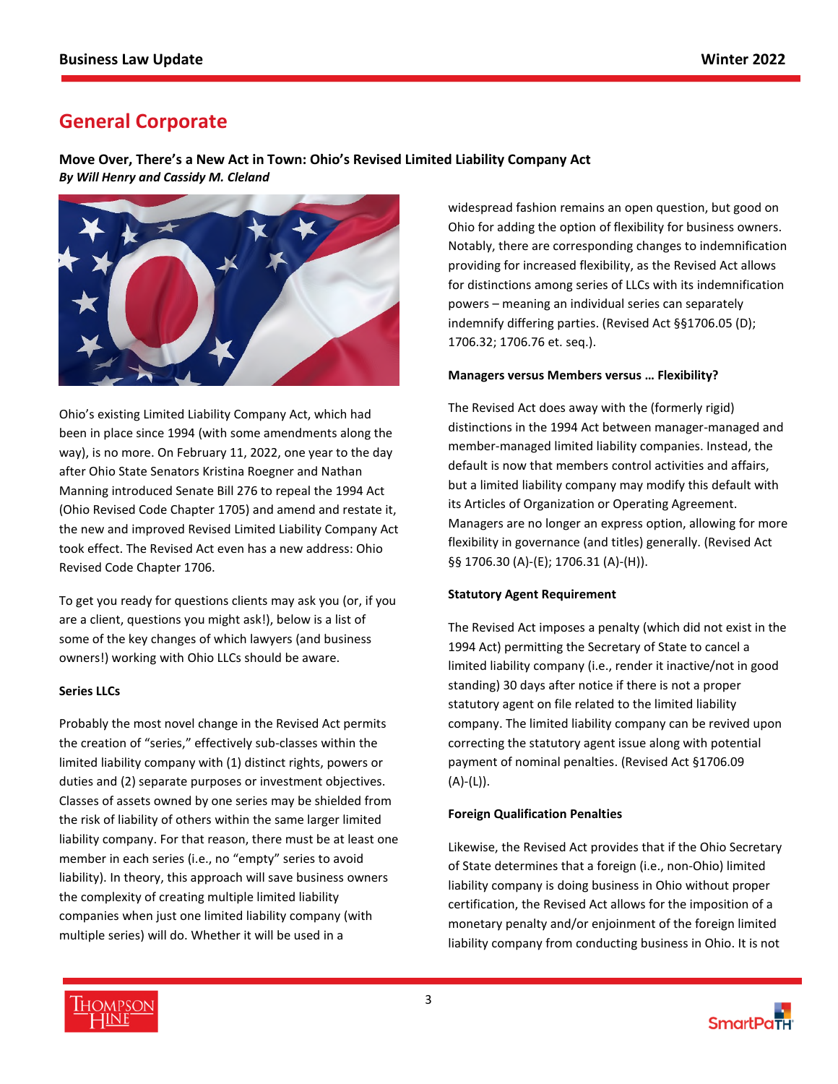# <span id="page-2-0"></span>**General Corporate**

**Move Over, There's a New Act in Town: Ohio's Revised Limited Liability Company Act**  *By Will Henry and Cassidy M. Cleland*



Ohio's existing Limited Liability Company Act, which had been in place since 1994 (with some amendments along the way), is no more. On February 11, 2022, one year to the day after Ohio State Senators Kristina Roegner and Nathan Manning introduced Senate Bill 276 to repeal the 1994 Act (Ohio Revised Code Chapter 1705) and amend and restate it, the new and improved Revised Limited Liability Company Act took effect. The Revised Act even has a new address: Ohio Revised Code Chapter 1706.

To get you ready for questions clients may ask you (or, if you are a client, questions you might ask!), below is a list of some of the key changes of which lawyers (and business owners!) working with Ohio LLCs should be aware.

## **Series LLCs**

Probably the most novel change in the Revised Act permits the creation of "series," effectively sub-classes within the limited liability company with (1) distinct rights, powers or duties and (2) separate purposes or investment objectives. Classes of assets owned by one series may be shielded from the risk of liability of others within the same larger limited liability company. For that reason, there must be at least one member in each series (i.e., no "empty" series to avoid liability). In theory, this approach will save business owners the complexity of creating multiple limited liability companies when just one limited liability company (with multiple series) will do. Whether it will be used in a

widespread fashion remains an open question, but good on Ohio for adding the option of flexibility for business owners. Notably, there are corresponding changes to indemnification providing for increased flexibility, as the Revised Act allows for distinctions among series of LLCs with its indemnification powers – meaning an individual series can separately indemnify differing parties. (Revised Act §§1706.05 (D); 1706.32; 1706.76 et. seq.).

### **Managers versus Members versus … Flexibility?**

The Revised Act does away with the (formerly rigid) distinctions in the 1994 Act between manager-managed and member-managed limited liability companies. Instead, the default is now that members control activities and affairs, but a limited liability company may modify this default with its Articles of Organization or Operating Agreement. Managers are no longer an express option, allowing for more flexibility in governance (and titles) generally. (Revised Act §§ 1706.30 (A)-(E); 1706.31 (A)-(H)).

## **Statutory Agent Requirement**

The Revised Act imposes a penalty (which did not exist in the 1994 Act) permitting the Secretary of State to cancel a limited liability company (i.e., render it inactive/not in good standing) 30 days after notice if there is not a proper statutory agent on file related to the limited liability company. The limited liability company can be revived upon correcting the statutory agent issue along with potential payment of nominal penalties. (Revised Act §1706.09  $(A)$ - $(L)$ ).

## **Foreign Qualification Penalties**

Likewise, the Revised Act provides that if the Ohio Secretary of State determines that a foreign (i.e., non-Ohio) limited liability company is doing business in Ohio without proper certification, the Revised Act allows for the imposition of a monetary penalty and/or enjoinment of the foreign limited liability company from conducting business in Ohio. It is not

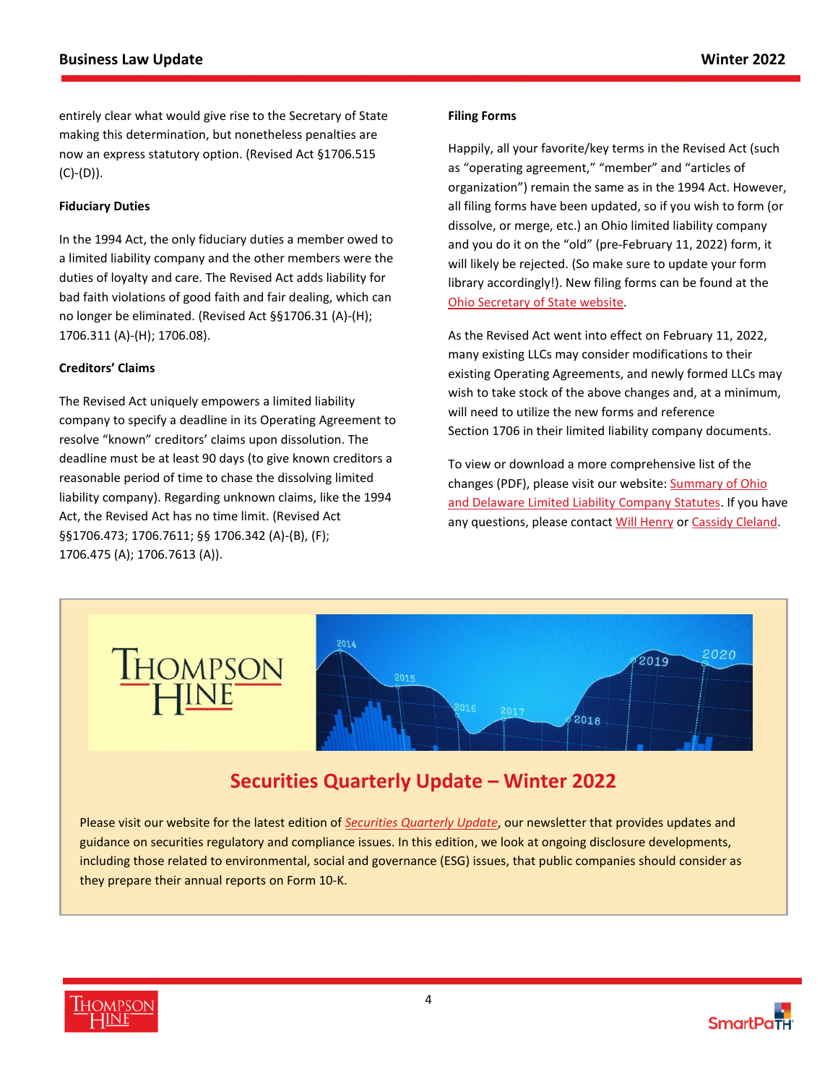entirely clear what would give rise to the Secretary of State making this determination, but nonetheless penalties are now an express statutory option. (Revised Act §1706.515 (C)-(D)).

### **Fiduciary Duties**

In the 1994 Act, the only fiduciary duties a member owed to a limited liability company and the other members were the duties of loyalty and care. The Revised Act adds liability for bad faith violations of good faith and fair dealing, which can no longer be eliminated. (Revised Act §§1706.31 (A)-(H); 1706.311 (A)-(H); 1706.08).

### **Creditors' Claims**

The Revised Act uniquely empowers a limited liability company to specify a deadline in its Operating Agreement to resolve "known" creditors' claims upon dissolution. The deadline must be at least 90 days (to give known creditors a reasonable period of time to chase the dissolving limited liability company). Regarding unknown claims, like the 1994 Act, the Revised Act has no time limit. (Revised Act §§1706.473; 1706.7611; §§ 1706.342 (A)-(B), (F); 1706.475 (A); 1706.7613 (A)).

#### **Filing Forms**

Happily, all your favorite/key terms in the Revised Act (such as "operating agreement," "member" and "articles of organization") remain the same as in the 1994 Act. However, all filing forms have been updated, so if you wish to form (or dissolve, or merge, etc.) an Ohio limited liability company and you do it on the "old" (pre-February 11, 2022) form, it will likely be rejected. (So make sure to update your form library accordingly!). New filing forms can be found at the [Ohio Secretary of State website.](https://www.ohiosos.gov/businesses/revised-llc-act---effective-2022/)

As the Revised Act went into effect on February 11, 2022, many existing LLCs may consider modifications to their existing Operating Agreements, and newly formed LLCs may wish to take stock of the above changes and, at a minimum, will need to utilize the new forms and reference Section 1706 in their limited liability company documents.

To view or download a more comprehensive list of the changes (PDF), please visit our website: [Summary of Ohio](https://filehost.thompsonhine.com/uploads/Summary_of_Ohio_and_Delaware_Limited_Liability_Company_Statutes_0452.pdf)  [and Delaware Limited Liability Company Statutes. If you have](https://filehost.thompsonhine.com/uploads/Summary_of_Ohio_and_Delaware_Limited_Liability_Company_Statutes_0452.pdf)  any questions, please contact [Will Henry](https://www.thompsonhine.com/professionals/henry-william) or [Cassidy Cleland](https://www.thompsonhine.com/professionals/cleland-cassidy).



# **Securities Quarterly Update – Winter 2022**

Please visit our website for the latest edition of *[Securities Quarterly Update](https://www.thompsonhine.com/publications/securities-quarterly-update---winter-2022)*, our newsletter that provides updates and guidance on securities regulatory and compliance issues. In this edition, we look at ongoing disclosure developments, including those related to environmental, social and governance (ESG) issues, that public companies should consider as they prepare their annual reports on Form 10-K.



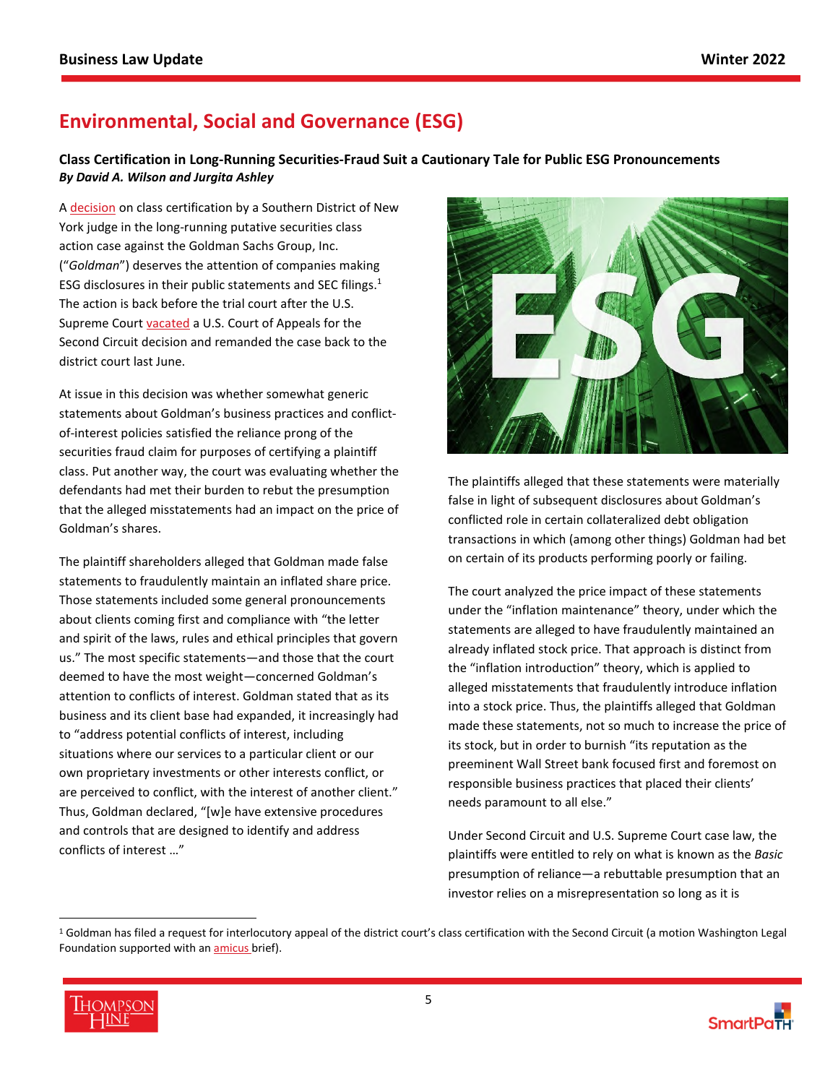# <span id="page-4-0"></span>**Environmental, Social and Governance (ESG)**

## **Class Certification in Long-Running Securities-Fraud Suit a Cautionary Tale for Public ESG Pronouncements**  *By David A. Wilson and Jurgita Ashley*

A [decision](https://www.lit-sl.shearman.com/siteFiles/38247/SL1_InreGoldmanSachsGroup,Inc.SecuritiesLitigation.pdf) on class certification by a Southern District of New York judge in the long-running putative securities class action case against the Goldman Sachs Group, Inc. ("*Goldman*") deserves the attention of companies making ESG disclosures in their public statements and SEC filings.[1](#page-4-1) The action is back before the trial court after the U.S. Supreme Court [vacated](https://www.supremecourt.gov/opinions/20pdf/20-222_2c83.pdf) a U.S. Court of Appeals for the Second Circuit decision and remanded the case back to the district court last June.

At issue in this decision was whether somewhat generic statements about Goldman's business practices and conflictof-interest policies satisfied the reliance prong of the securities fraud claim for purposes of certifying a plaintiff class. Put another way, the court was evaluating whether the defendants had met their burden to rebut the presumption that the alleged misstatements had an impact on the price of Goldman's shares.

The plaintiff shareholders alleged that Goldman made false statements to fraudulently maintain an inflated share price. Those statements included some general pronouncements about clients coming first and compliance with "the letter and spirit of the laws, rules and ethical principles that govern us." The most specific statements—and those that the court deemed to have the most weight—concerned Goldman's attention to conflicts of interest. Goldman stated that as its business and its client base had expanded, it increasingly had to "address potential conflicts of interest, including situations where our services to a particular client or our own proprietary investments or other interests conflict, or are perceived to conflict, with the interest of another client." Thus, Goldman declared, "[w]e have extensive procedures and controls that are designed to identify and address conflicts of interest …"



The plaintiffs alleged that these statements were materially false in light of subsequent disclosures about Goldman's conflicted role in certain collateralized debt obligation transactions in which (among other things) Goldman had bet on certain of its products performing poorly or failing.

The court analyzed the price impact of these statements under the "inflation maintenance" theory, under which the statements are alleged to have fraudulently maintained an already inflated stock price. That approach is distinct from the "inflation introduction" theory, which is applied to alleged misstatements that fraudulently introduce inflation into a stock price. Thus, the plaintiffs alleged that Goldman made these statements, not so much to increase the price of its stock, but in order to burnish "its reputation as the preeminent Wall Street bank focused first and foremost on responsible business practices that placed their clients' needs paramount to all else."

Under Second Circuit and U.S. Supreme Court case law, the plaintiffs were entitled to rely on what is known as the *Basic* presumption of reliance—a rebuttable presumption that an investor relies on a misrepresentation so long as it is

<span id="page-4-1"></span><sup>&</sup>lt;sup>1</sup> Goldman has filed a request for interlocutory appeal of the district court's class certification with the Second Circuit (a motion Washington Legal Foundation supported with an **amicus** brief).

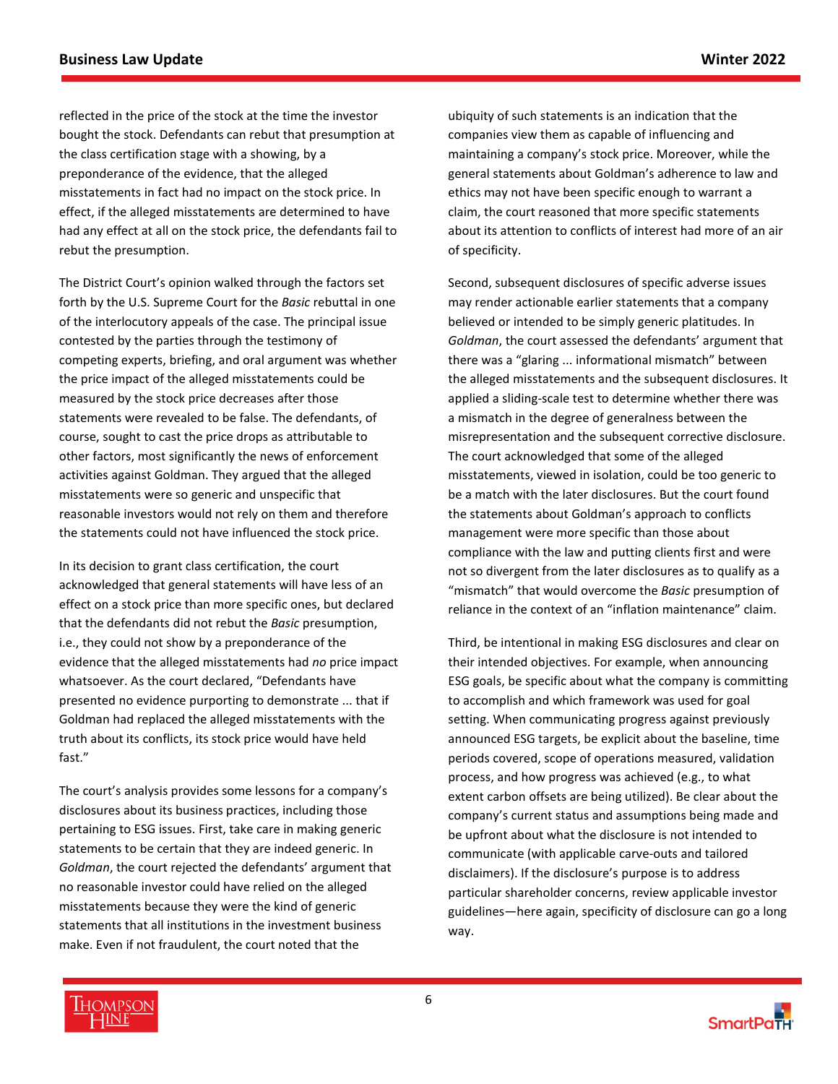reflected in the price of the stock at the time the investor bought the stock. Defendants can rebut that presumption at the class certification stage with a showing, by a preponderance of the evidence, that the alleged misstatements in fact had no impact on the stock price. In effect, if the alleged misstatements are determined to have had any effect at all on the stock price, the defendants fail to rebut the presumption.

The District Court's opinion walked through the factors set forth by the U.S. Supreme Court for the *Basic* rebuttal in one of the interlocutory appeals of the case. The principal issue contested by the parties through the testimony of competing experts, briefing, and oral argument was whether the price impact of the alleged misstatements could be measured by the stock price decreases after those statements were revealed to be false. The defendants, of course, sought to cast the price drops as attributable to other factors, most significantly the news of enforcement activities against Goldman. They argued that the alleged misstatements were so generic and unspecific that reasonable investors would not rely on them and therefore the statements could not have influenced the stock price.

In its decision to grant class certification, the court acknowledged that general statements will have less of an effect on a stock price than more specific ones, but declared that the defendants did not rebut the *Basic* presumption, i.e., they could not show by a preponderance of the evidence that the alleged misstatements had *no* price impact whatsoever. As the court declared, "Defendants have presented no evidence purporting to demonstrate ... that if Goldman had replaced the alleged misstatements with the truth about its conflicts, its stock price would have held fast."

The court's analysis provides some lessons for a company's disclosures about its business practices, including those pertaining to ESG issues. First, take care in making generic statements to be certain that they are indeed generic. In *Goldman*, the court rejected the defendants' argument that no reasonable investor could have relied on the alleged misstatements because they were the kind of generic statements that all institutions in the investment business make. Even if not fraudulent, the court noted that the

ubiquity of such statements is an indication that the companies view them as capable of influencing and maintaining a company's stock price. Moreover, while the general statements about Goldman's adherence to law and ethics may not have been specific enough to warrant a claim, the court reasoned that more specific statements about its attention to conflicts of interest had more of an air of specificity.

Second, subsequent disclosures of specific adverse issues may render actionable earlier statements that a company believed or intended to be simply generic platitudes. In *Goldman*, the court assessed the defendants' argument that there was a "glaring ... informational mismatch" between the alleged misstatements and the subsequent disclosures. It applied a sliding-scale test to determine whether there was a mismatch in the degree of generalness between the misrepresentation and the subsequent corrective disclosure. The court acknowledged that some of the alleged misstatements, viewed in isolation, could be too generic to be a match with the later disclosures. But the court found the statements about Goldman's approach to conflicts management were more specific than those about compliance with the law and putting clients first and were not so divergent from the later disclosures as to qualify as a "mismatch" that would overcome the *Basic* presumption of reliance in the context of an "inflation maintenance" claim.

Third, be intentional in making ESG disclosures and clear on their intended objectives. For example, when announcing ESG goals, be specific about what the company is committing to accomplish and which framework was used for goal setting. When communicating progress against previously announced ESG targets, be explicit about the baseline, time periods covered, scope of operations measured, validation process, and how progress was achieved (e.g., to what extent carbon offsets are being utilized). Be clear about the company's current status and assumptions being made and be upfront about what the disclosure is not intended to communicate (with applicable carve-outs and tailored disclaimers). If the disclosure's purpose is to address particular shareholder concerns, review applicable investor guidelines—here again, specificity of disclosure can go a long way.



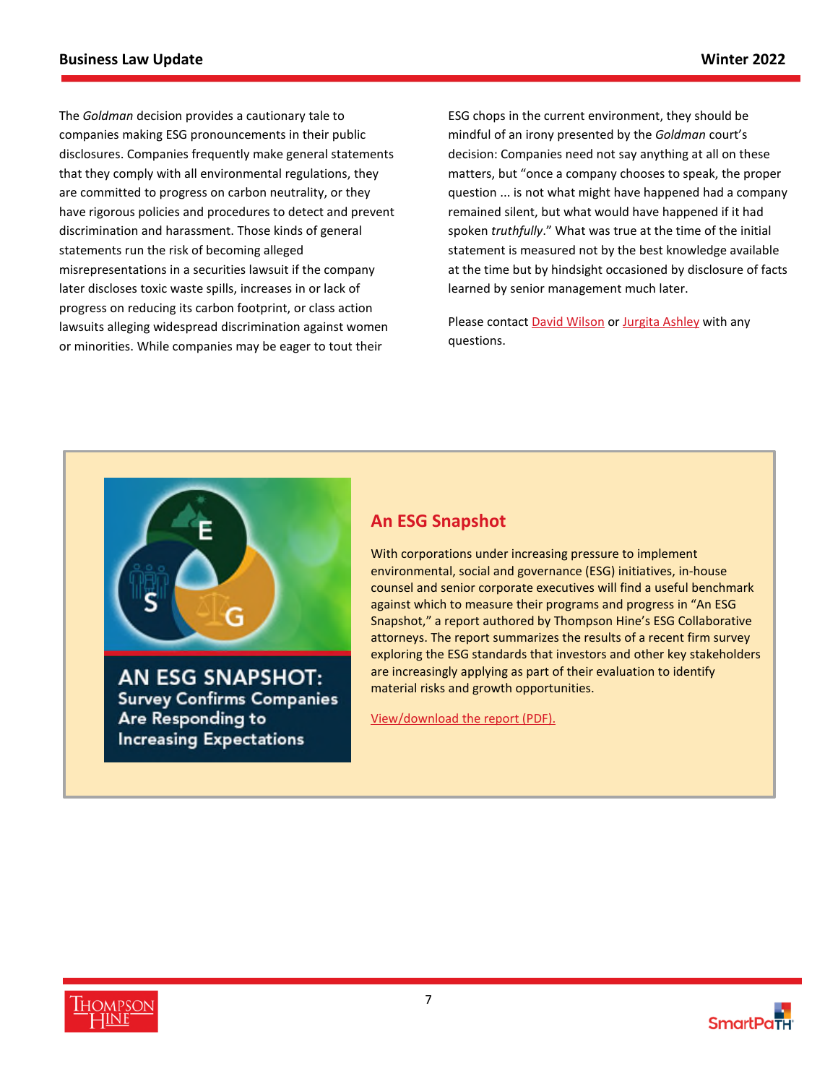The *Goldman* decision provides a cautionary tale to companies making ESG pronouncements in their public disclosures. Companies frequently make general statements that they comply with all environmental regulations, they are committed to progress on carbon neutrality, or they have rigorous policies and procedures to detect and prevent discrimination and harassment. Those kinds of general statements run the risk of becoming alleged misrepresentations in a securities lawsuit if the company later discloses toxic waste spills, increases in or lack of progress on reducing its carbon footprint, or class action lawsuits alleging widespread discrimination against women or minorities. While companies may be eager to tout their

ESG chops in the current environment, they should be mindful of an irony presented by the *Goldman* court's decision: Companies need not say anything at all on these matters, but "once a company chooses to speak, the proper question ... is not what might have happened had a company remained silent, but what would have happened if it had spoken *truthfully*." What was true at the time of the initial statement is measured not by the best knowledge available at the time but by hindsight occasioned by disclosure of facts learned by senior management much later.

Please contact [David Wilson](https://www.thompsonhine.com/professionals/wilson-david) or [Jurgita Ashley](https://www.thompsonhine.com/professionals/ashley-jurgita) with any questions.



# **An ESG Snapshot**

With corporations under increasing pressure to implement environmental, social and governance (ESG) initiatives, in-house counsel and senior corporate executives will find a useful benchmark against which to measure their programs and progress in "An ESG Snapshot," a report authored by Thompson Hine's ESG Collaborative attorneys. The report summarizes the results of a recent firm survey exploring the ESG standards that investors and other key stakeholders are increasingly applying as part of their evaluation to identify material risks and growth opportunities.

[View/download the report \(PDF\).](https://www.thompsonhine.com/uploads/1135/doc/An_ESG_Snapshot.pdf)



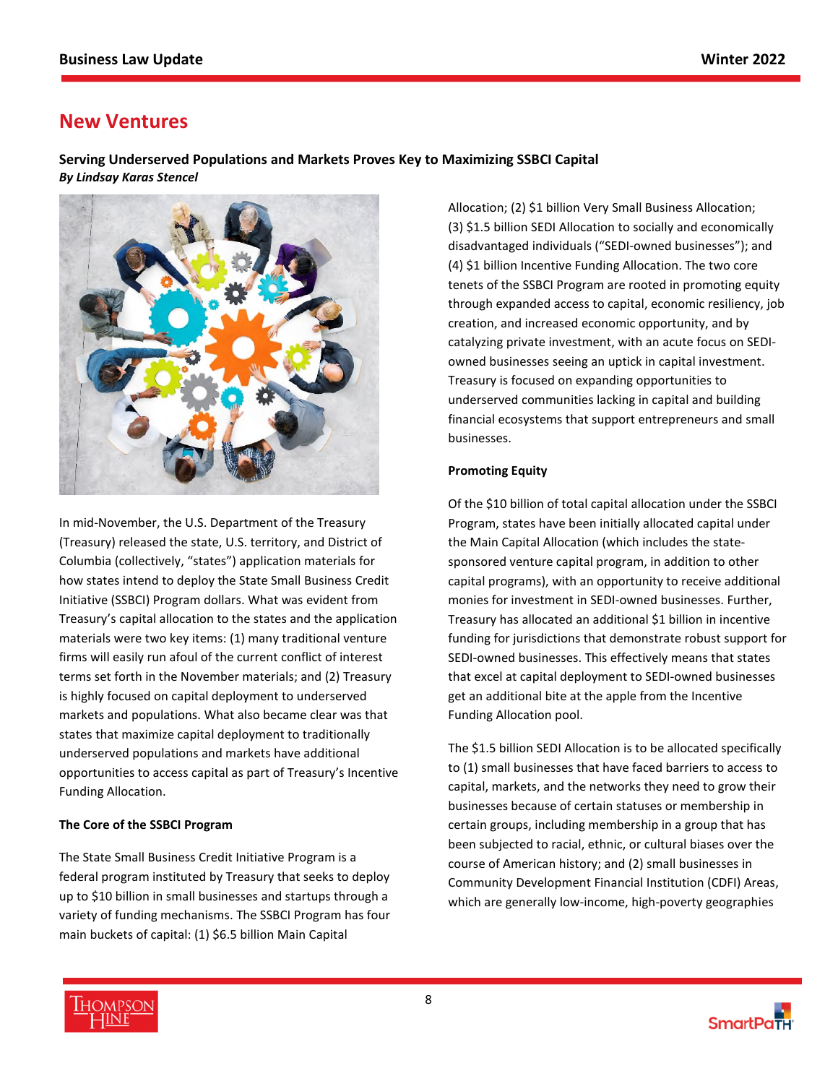# <span id="page-7-0"></span>**New Ventures**

**Serving Underserved Populations and Markets Proves Key to Maximizing SSBCI Capital** *By Lindsay Karas Stencel*



In mid-November, the U.S. Department of the Treasury (Treasury) released the state, U.S. territory, and District of Columbia (collectively, "states") application materials for how states intend to deploy the State Small Business Credit Initiative (SSBCI) Program dollars. What was evident from Treasury's capital allocation to the states and the application materials were two key items: (1) many traditional venture firms will easily run afoul of the current conflict of interest terms set forth in the November materials; and (2) Treasury is highly focused on capital deployment to underserved markets and populations. What also became clear was that states that maximize capital deployment to traditionally underserved populations and markets have additional opportunities to access capital as part of Treasury's Incentive Funding Allocation.

## **The Core of the SSBCI Program**

The State Small Business Credit Initiative Program is a federal program instituted by Treasury that seeks to deploy up to \$10 billion in small businesses and startups through a variety of funding mechanisms. The SSBCI Program has four main buckets of capital: (1) \$6.5 billion Main Capital

Allocation; (2) \$1 billion Very Small Business Allocation; (3) \$1.5 billion SEDI Allocation to socially and economically disadvantaged individuals ("SEDI-owned businesses"); and (4) \$1 billion Incentive Funding Allocation. The two core tenets of the SSBCI Program are rooted in promoting equity through expanded access to capital, economic resiliency, job creation, and increased economic opportunity, and by catalyzing private investment, with an acute focus on SEDIowned businesses seeing an uptick in capital investment. Treasury is focused on expanding opportunities to underserved communities lacking in capital and building financial ecosystems that support entrepreneurs and small businesses.

## **Promoting Equity**

Of the \$10 billion of total capital allocation under the SSBCI Program, states have been initially allocated capital under the Main Capital Allocation (which includes the statesponsored venture capital program, in addition to other capital programs), with an opportunity to receive additional monies for investment in SEDI-owned businesses. Further, Treasury has allocated an additional \$1 billion in incentive funding for jurisdictions that demonstrate robust support for SEDI-owned businesses. This effectively means that states that excel at capital deployment to SEDI-owned businesses get an additional bite at the apple from the Incentive Funding Allocation pool.

The \$1.5 billion SEDI Allocation is to be allocated specifically to (1) small businesses that have faced barriers to access to capital, markets, and the networks they need to grow their businesses because of certain statuses or membership in certain groups, including membership in a group that has been subjected to racial, ethnic, or cultural biases over the course of American history; and (2) small businesses in Community Development Financial Institution (CDFI) Areas, which are generally low-income, high-poverty geographies

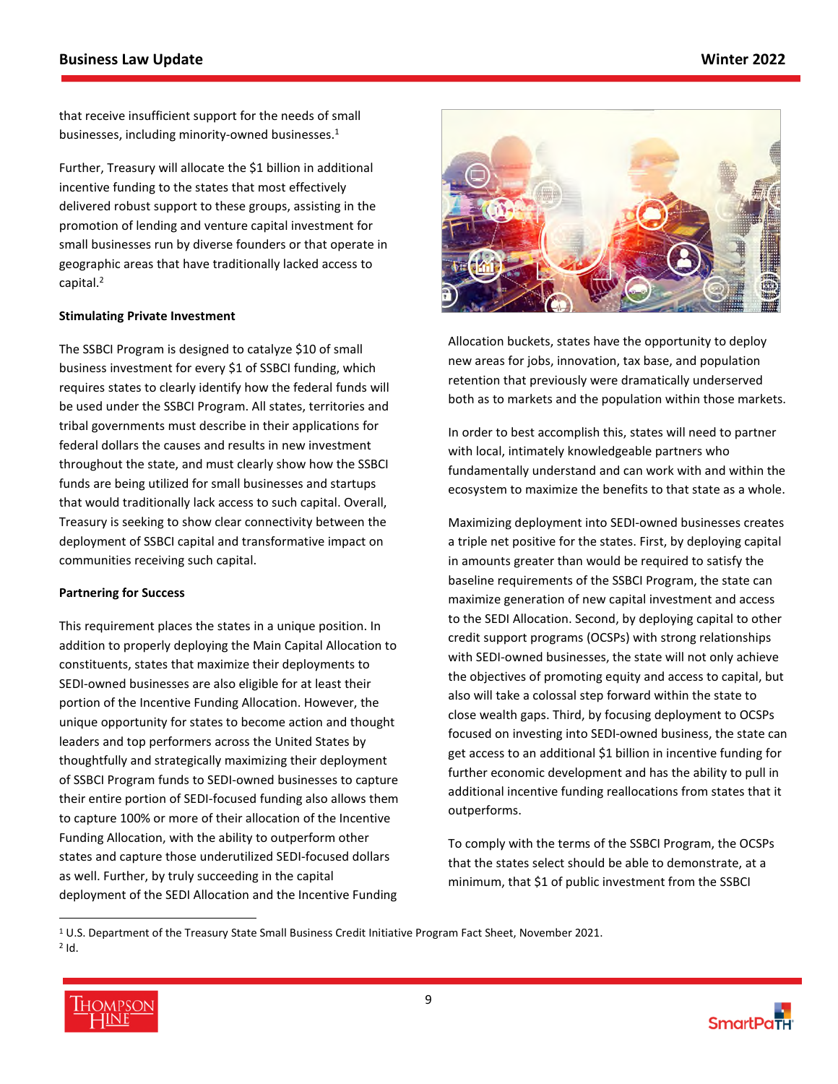that receive insufficient support for the needs of small businesses, including minority-owned businesses.<sup>[1](#page-8-0)</sup>

Further, Treasury will allocate the \$1 billion in additional incentive funding to the states that most effectively delivered robust support to these groups, assisting in the promotion of lending and venture capital investment for small businesses run by diverse founders or that operate in geographic areas that have traditionally lacked access to capital.<sup>[2](#page-8-1)</sup>

### **Stimulating Private Investment**

The SSBCI Program is designed to catalyze \$10 of small business investment for every \$1 of SSBCI funding, which requires states to clearly identify how the federal funds will be used under the SSBCI Program. All states, territories and tribal governments must describe in their applications for federal dollars the causes and results in new investment throughout the state, and must clearly show how the SSBCI funds are being utilized for small businesses and startups that would traditionally lack access to such capital. Overall, Treasury is seeking to show clear connectivity between the deployment of SSBCI capital and transformative impact on communities receiving such capital.

#### **Partnering for Success**

This requirement places the states in a unique position. In addition to properly deploying the Main Capital Allocation to constituents, states that maximize their deployments to SEDI-owned businesses are also eligible for at least their portion of the Incentive Funding Allocation. However, the unique opportunity for states to become action and thought leaders and top performers across the United States by thoughtfully and strategically maximizing their deployment of SSBCI Program funds to SEDI-owned businesses to capture their entire portion of SEDI-focused funding also allows them to capture 100% or more of their allocation of the Incentive Funding Allocation, with the ability to outperform other states and capture those underutilized SEDI-focused dollars as well. Further, by truly succeeding in the capital deployment of the SEDI Allocation and the Incentive Funding



Allocation buckets, states have the opportunity to deploy new areas for jobs, innovation, tax base, and population retention that previously were dramatically underserved both as to markets and the population within those markets.

In order to best accomplish this, states will need to partner with local, intimately knowledgeable partners who fundamentally understand and can work with and within the ecosystem to maximize the benefits to that state as a whole.

Maximizing deployment into SEDI-owned businesses creates a triple net positive for the states. First, by deploying capital in amounts greater than would be required to satisfy the baseline requirements of the SSBCI Program, the state can maximize generation of new capital investment and access to the SEDI Allocation. Second, by deploying capital to other credit support programs (OCSPs) with strong relationships with SEDI-owned businesses, the state will not only achieve the objectives of promoting equity and access to capital, but also will take a colossal step forward within the state to close wealth gaps. Third, by focusing deployment to OCSPs focused on investing into SEDI-owned business, the state can get access to an additional \$1 billion in incentive funding for further economic development and has the ability to pull in additional incentive funding reallocations from states that it outperforms.

To comply with the terms of the SSBCI Program, the OCSPs that the states select should be able to demonstrate, at a minimum, that \$1 of public investment from the SSBCI

<span id="page-8-1"></span><span id="page-8-0"></span><sup>&</sup>lt;sup>1</sup> U.S. Department of the Treasury State Small Business Credit Initiative Program Fact Sheet, November 2021.  $2$  Id.

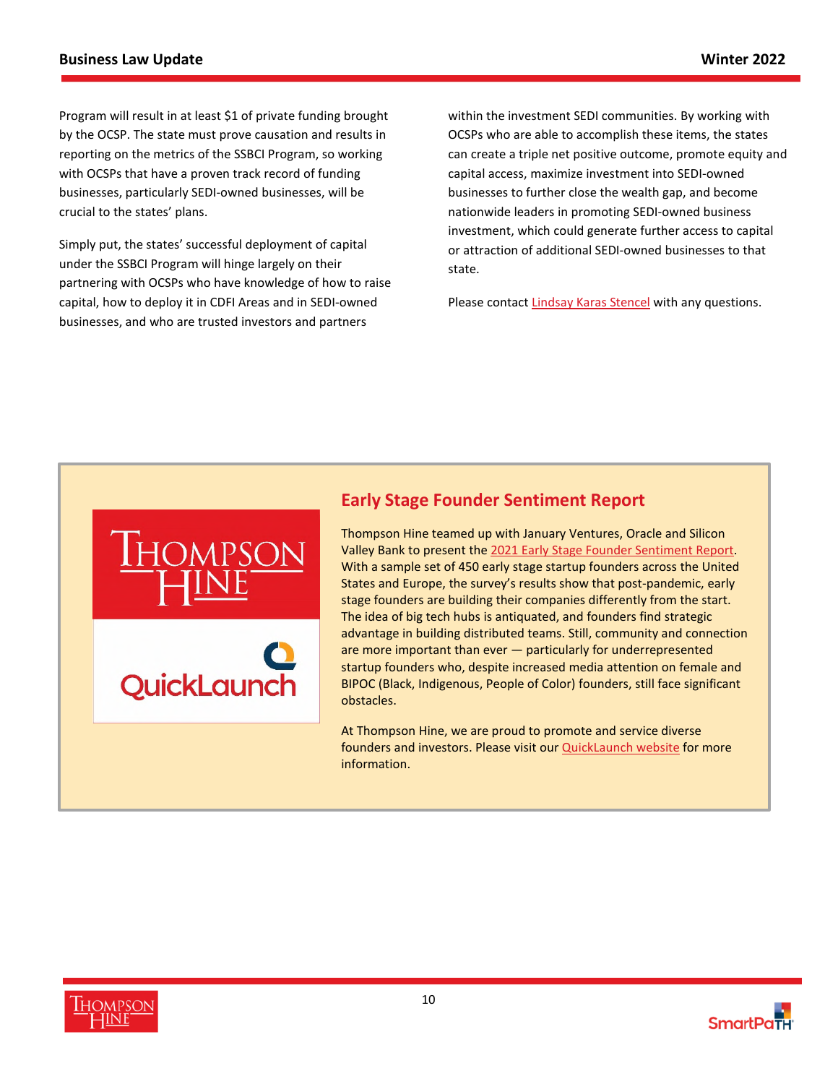Program will result in at least \$1 of private funding brought by the OCSP. The state must prove causation and results in reporting on the metrics of the SSBCI Program, so working with OCSPs that have a proven track record of funding businesses, particularly SEDI-owned businesses, will be crucial to the states' plans.

Simply put, the states' successful deployment of capital under the SSBCI Program will hinge largely on their partnering with OCSPs who have knowledge of how to raise capital, how to deploy it in CDFI Areas and in SEDI-owned businesses, and who are trusted investors and partners

QuickLaund

within the investment SEDI communities. By working with OCSPs who are able to accomplish these items, the states can create a triple net positive outcome, promote equity and capital access, maximize investment into SEDI-owned businesses to further close the wealth gap, and become nationwide leaders in promoting SEDI-owned business investment, which could generate further access to capital or attraction of additional SEDI-owned businesses to that state.

Please contact [Lindsay Karas Stencel](https://www.thompsonhine.com/professionals/karas-stencel-lindsay) with any questions.



Valley Bank to present the [2021 Early Stage Founder Sentiment Report](https://filehost.thompsonhine.com/uploads/2021_Early_Stage_Founder_Sentiment_Report_9104.pdf). With a sample set of 450 early stage startup founders across the United States and Europe, the survey's results show that post-pandemic, early stage founders are building their companies differently from the start. The idea of big tech hubs is antiquated, and founders find strategic advantage in building distributed teams. Still, community and connection are more important than ever — particularly for underrepresented startup founders who, despite increased media attention on female and BIPOC (Black, Indigenous, People of Color) founders, still face significant obstacles.

At Thompson Hine, we are proud to promote and service diverse founders and investors. Please visit our [QuickLaunch website](https://www.thquicklaunch.com/) for more information.



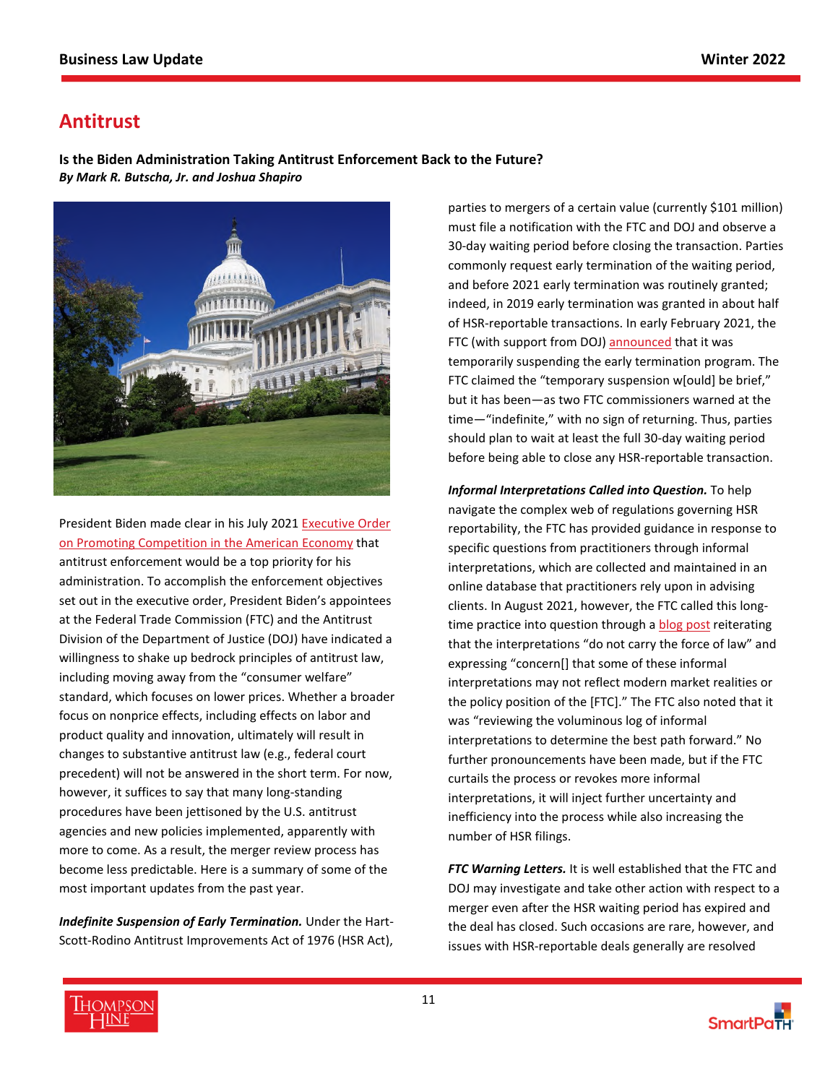# <span id="page-10-0"></span>**Antitrust**

**Is the Biden Administration Taking Antitrust Enforcement Back to the Future?** *By Mark R. Butscha, Jr. and Joshua Shapiro* 



President Biden made clear in his July 2021 [Executive Order](https://www.whitehouse.gov/briefing-room/presidential-actions/2021/07/09/executive-order-on-promoting-competition-in-the-american-economy/)  [on Promoting Competition in the American Economy that](https://www.whitehouse.gov/briefing-room/presidential-actions/2021/07/09/executive-order-on-promoting-competition-in-the-american-economy/)  antitrust enforcement would be a top priority for his administration. To accomplish the enforcement objectives set out in the executive order, President Biden's appointees at the Federal Trade Commission (FTC) and the Antitrust Division of the Department of Justice (DOJ) have indicated a willingness to shake up bedrock principles of antitrust law, including moving away from the "consumer welfare" standard, which focuses on lower prices. Whether a broader focus on nonprice effects, including effects on labor and product quality and innovation, ultimately will result in changes to substantive antitrust law (e.g., federal court precedent) will not be answered in the short term. For now, however, it suffices to say that many long-standing procedures have been jettisoned by the U.S. antitrust agencies and new policies implemented, apparently with more to come. As a result, the merger review process has become less predictable. Here is a summary of some of the most important updates from the past year.

*Indefinite Suspension of Early Termination.* Under the Hart-Scott-Rodino Antitrust Improvements Act of 1976 (HSR Act), parties to mergers of a certain value (currently \$101 million) must file a notification with the FTC and DOJ and observe a 30-day waiting period before closing the transaction. Parties commonly request early termination of the waiting period, and before 2021 early termination was routinely granted; indeed, in 2019 early termination was granted in about half of HSR-reportable transactions. In early February 2021, the FTC (with support from DOJ) [announced](https://www.thompsonhine.com/publications/antitrust-agencies-suspend-early-termination---temporary-or-indefinite) that it was temporarily suspending the early termination program. The FTC claimed the "temporary suspension w[ould] be brief," but it has been—as two FTC commissioners warned at the time—"indefinite," with no sign of returning. Thus, parties should plan to wait at least the full 30-day waiting period before being able to close any HSR-reportable transaction.

*Informal Interpretations Called into Question.* To help navigate the complex web of regulations governing HSR reportability, the FTC has provided guidance in response to specific questions from practitioners through informal interpretations, which are collected and maintained in an online database that practitioners rely upon in advising clients. In August 2021, however, the FTC called this longtime practice into question through a **[blog post](https://www.ftc.gov/news-events/blogs/competition-matters/2021/08/reforming-pre-filing-process-companies-considering) reiterating** that the interpretations "do not carry the force of law" and expressing "concern[] that some of these informal interpretations may not reflect modern market realities or the policy position of the [FTC]." The FTC also noted that it was "reviewing the voluminous log of informal interpretations to determine the best path forward." No further pronouncements have been made, but if the FTC curtails the process or revokes more informal interpretations, it will inject further uncertainty and inefficiency into the process while also increasing the number of HSR filings.

*FTC Warning Letters.* It is well established that the FTC and DOJ may investigate and take other action with respect to a merger even after the HSR waiting period has expired and the deal has closed. Such occasions are rare, however, and issues with HSR-reportable deals generally are resolved



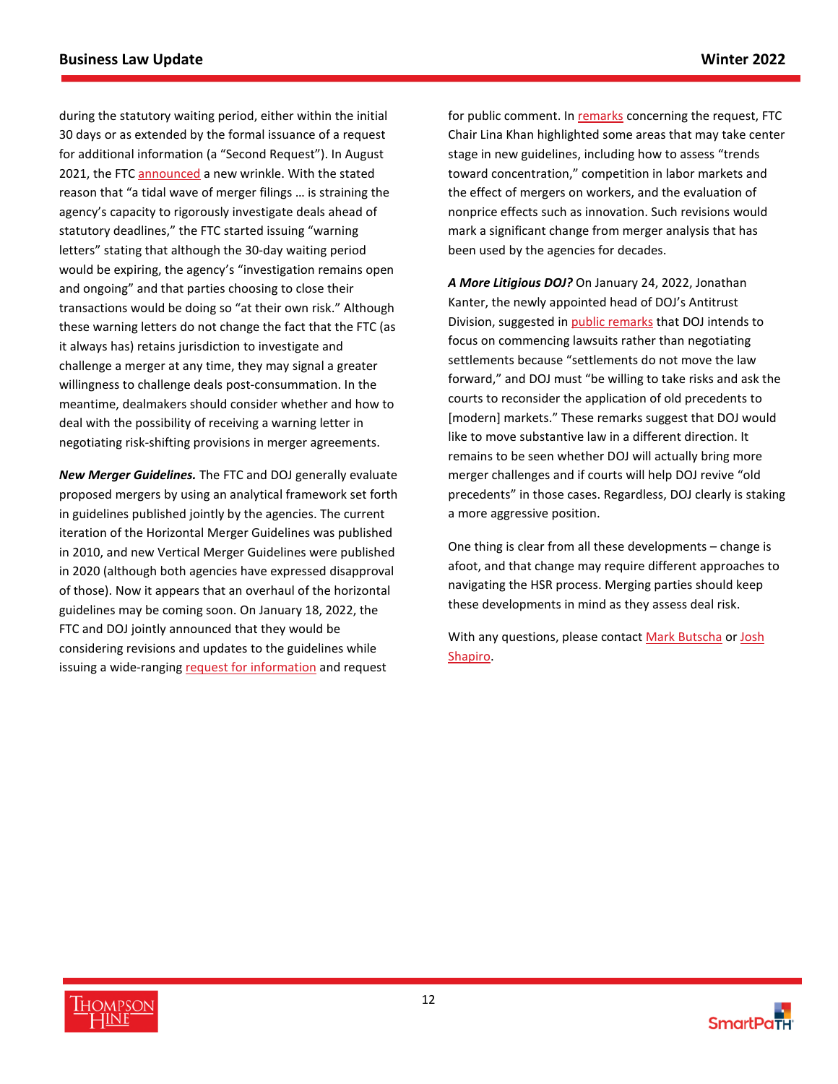during the statutory waiting period, either within the initial 30 days or as extended by the formal issuance of a request for additional information (a "Second Request"). In August 2021, the FTC [announced](https://www.ftc.gov/news-events/blogs/competition-matters/2021/08/adjusting-merger-review-deal-surge-merger-filings) a new wrinkle. With the stated reason that "a tidal wave of merger filings … is straining the agency's capacity to rigorously investigate deals ahead of statutory deadlines," the FTC started issuing "warning letters" stating that although the 30-day waiting period would be expiring, the agency's "investigation remains open and ongoing" and that parties choosing to close their transactions would be doing so "at their own risk." Although these warning letters do not change the fact that the FTC (as it always has) retains jurisdiction to investigate and challenge a merger at any time, they may signal a greater willingness to challenge deals post-consummation. In the meantime, dealmakers should consider whether and how to deal with the possibility of receiving a warning letter in negotiating risk-shifting provisions in merger agreements.

*New Merger Guidelines.* The FTC and DOJ generally evaluate proposed mergers by using an analytical framework set forth in guidelines published jointly by the agencies. The current iteration of the Horizontal Merger Guidelines was published in 2010, and new Vertical Merger Guidelines were published in 2020 (although both agencies have expressed disapproval of those). Now it appears that an overhaul of the horizontal guidelines may be coming soon. On January 18, 2022, the FTC and DOJ jointly announced that they would be considering revisions and updates to the guidelines while issuing a wide-ranging [request for information](https://www.justice.gov/opa/press-release/file/1463566/download) and request

for public comment. In [remarks](https://www.ftc.gov/system/files/documents/public_statements/1599783/statement_of_chair_lina_m_khan_regarding_the_request_for_information_on_merger_enforcement_final.pdf) concerning the request, FTC Chair Lina Khan highlighted some areas that may take center stage in new guidelines, including how to assess "trends toward concentration," competition in labor markets and the effect of mergers on workers, and the evaluation of nonprice effects such as innovation. Such revisions would mark a significant change from merger analysis that has been used by the agencies for decades.

*A More Litigious DOJ?* On January 24, 2022, Jonathan Kanter, the newly appointed head of DOJ's Antitrust Division, suggested in [public remarks](https://www.justice.gov/opa/speech/assistant-attorney-general-jonathan-kanter-antitrust-division-delivers-remarks-new-york) that DOJ intends to focus on commencing lawsuits rather than negotiating settlements because "settlements do not move the law forward," and DOJ must "be willing to take risks and ask the courts to reconsider the application of old precedents to [modern] markets." These remarks suggest that DOJ would like to move substantive law in a different direction. It remains to be seen whether DOJ will actually bring more merger challenges and if courts will help DOJ revive "old precedents" in those cases. Regardless, DOJ clearly is staking a more aggressive position.

One thing is clear from all these developments – change is afoot, and that change may require different approaches to navigating the HSR process. Merging parties should keep these developments in mind as they assess deal risk.

With any questions, please contact [Mark Butscha](https://www.thompsonhine.com/professionals/butscha-jr-mark) or Josh [Shapiro.](https://www.thompsonhine.com/professionals/shapiro-joshua) 

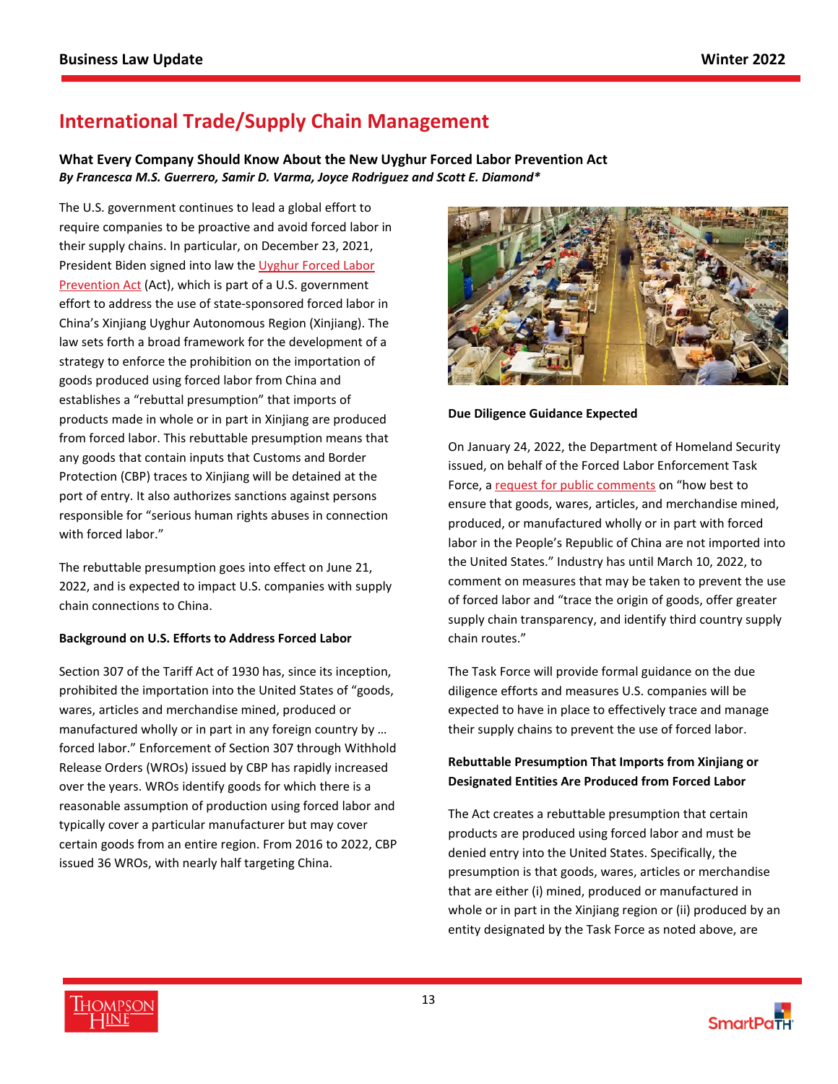# <span id="page-12-0"></span>**International Trade/Supply Chain Management**

**What Every Company Should Know About the New Uyghur Forced Labor Prevention Act** *By Francesca M.S. Guerrero, Samir D. Varma, Joyce Rodriguez and Scott E. Diamond\** 

The U.S. government continues to lead a global effort to require companies to be proactive and avoid forced labor in their supply chains. In particular, on December 23, 2021, President Biden signed into law the [Uyghur Forced Labor](https://filehost.thompsonhine.com/uploads/PL_117-78_UFLPA_0057.pdf)  [Prevention Act \(Act\), which is part of a U.S. government](https://filehost.thompsonhine.com/uploads/PL_117-78_UFLPA_0057.pdf)  effort to address the use of state-sponsored forced labor in China's Xinjiang Uyghur Autonomous Region (Xinjiang). The law sets forth a broad framework for the development of a strategy to enforce the prohibition on the importation of goods produced using forced labor from China and establishes a "rebuttal presumption" that imports of products made in whole or in part in Xinjiang are produced from forced labor. This rebuttable presumption means that any goods that contain inputs that Customs and Border Protection (CBP) traces to Xinjiang will be detained at the port of entry. It also authorizes sanctions against persons responsible for "serious human rights abuses in connection with forced labor."

The rebuttable presumption goes into effect on June 21, 2022, and is expected to impact U.S. companies with supply chain connections to China.

#### **Background on U.S. Efforts to Address Forced Labor**

Section 307 of the Tariff Act of 1930 has, since its inception, prohibited the importation into the United States of "goods, wares, articles and merchandise mined, produced or manufactured wholly or in part in any foreign country by … forced labor." Enforcement of Section 307 through Withhold Release Orders (WROs) issued by CBP has rapidly increased over the years. WROs identify goods for which there is a reasonable assumption of production using forced labor and typically cover a particular manufacturer but may cover certain goods from an entire region. From 2016 to 2022, CBP issued 36 WROs, with nearly half targeting China.



#### **Due Diligence Guidance Expected**

On January 24, 2022, the Department of Homeland Security issued, on behalf of the Forced Labor Enforcement Task Force, a [request for public comments](https://www.govinfo.gov/content/pkg/FR-2022-01-24/pdf/2022-01444.pdf) on "how best to ensure that goods, wares, articles, and merchandise mined, produced, or manufactured wholly or in part with forced labor in the People's Republic of China are not imported into the United States." Industry has until March 10, 2022, to comment on measures that may be taken to prevent the use of forced labor and "trace the origin of goods, offer greater supply chain transparency, and identify third country supply chain routes."

The Task Force will provide formal guidance on the due diligence efforts and measures U.S. companies will be expected to have in place to effectively trace and manage their supply chains to prevent the use of forced labor.

## **Rebuttable Presumption That Imports from Xinjiang or Designated Entities Are Produced from Forced Labor**

The Act creates a rebuttable presumption that certain products are produced using forced labor and must be denied entry into the United States. Specifically, the presumption is that goods, wares, articles or merchandise that are either (i) mined, produced or manufactured in whole or in part in the Xinjiang region or (ii) produced by an entity designated by the Task Force as noted above, are



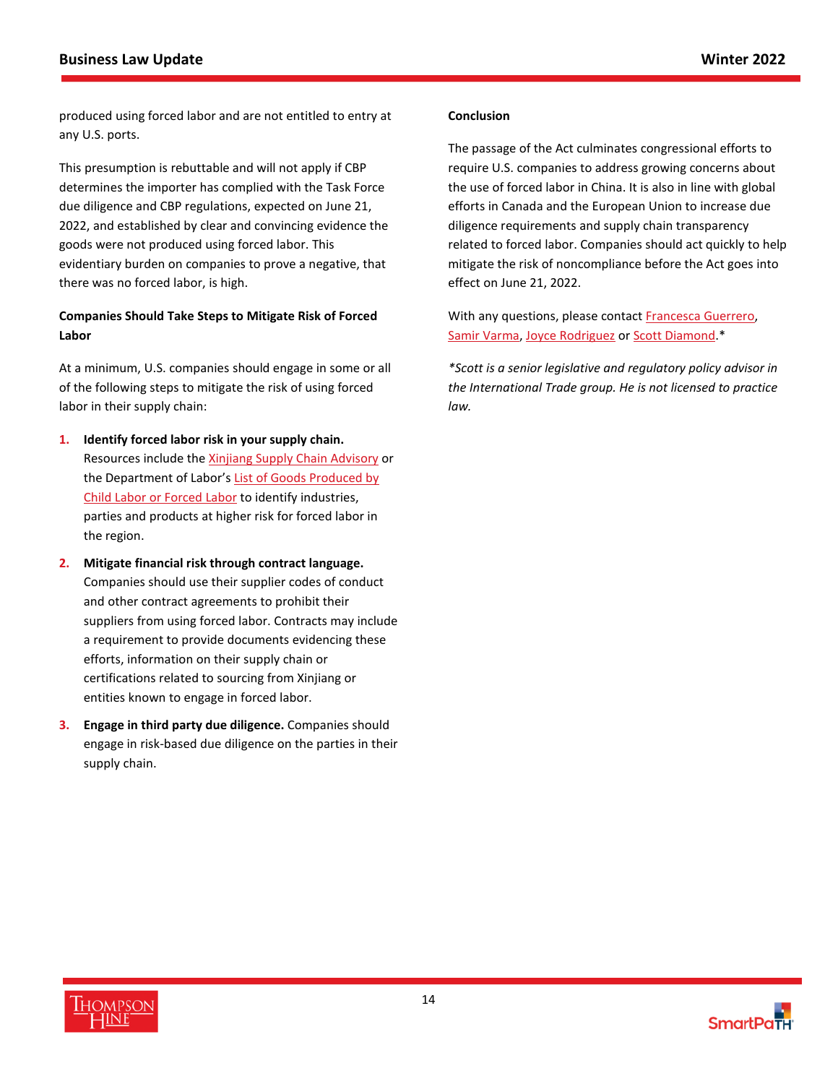produced using forced labor and are not entitled to entry at any U.S. ports.

This presumption is rebuttable and will not apply if CBP determines the importer has complied with the Task Force due diligence and CBP regulations, expected on June 21, 2022, and established by clear and convincing evidence the goods were not produced using forced labor. This evidentiary burden on companies to prove a negative, that there was no forced labor, is high.

## **Companies Should Take Steps to Mitigate Risk of Forced Labor**

At a minimum, U.S. companies should engage in some or all of the following steps to mitigate the risk of using forced labor in their supply chain:

- **1. Identify forced labor risk in your supply chain.** Resources include the [Xinjiang Supply Chain Advisory](https://www.state.gov/wp-content/uploads/2021/07/Xinjiang-Business-Advisory-13July2021-1.pdf) or the Department of Labor's List of Goods Produced by [Child Labor or Forced Labor to identify industries,](https://www.dol.gov/agencies/ilab/reports/child-labor/list-of-goods)  parties and products at higher risk for forced labor in the region.
- **2. Mitigate financial risk through contract language.**  Companies should use their supplier codes of conduct and other contract agreements to prohibit their suppliers from using forced labor. Contracts may include a requirement to provide documents evidencing these efforts, information on their supply chain or certifications related to sourcing from Xinjiang or entities known to engage in forced labor.
- **3. Engage in third party due diligence.** Companies should engage in risk-based due diligence on the parties in their supply chain.

#### **Conclusion**

The passage of the Act culminates congressional efforts to require U.S. companies to address growing concerns about the use of forced labor in China. It is also in line with global efforts in Canada and the European Union to increase due diligence requirements and supply chain transparency related to forced labor. Companies should act quickly to help mitigate the risk of noncompliance before the Act goes into effect on June 21, 2022.

With any questions, please contact **[Francesca Guerrero](https://www.thompsonhine.com/professionals/guerrero-francesca)**, [Samir Varma,](https://www.thompsonhine.com/professionals/varma-samir) [Joyce Rodriguez](https://www.thompsonhine.com/professionals/rodriguez-joyce) or [Scott Diamond.](https://www.thompsonhine.com/professionals/diamond-scott)\*

*\*Scott is a senior legislative and regulatory policy advisor in the International Trade group. He is not licensed to practice law.*

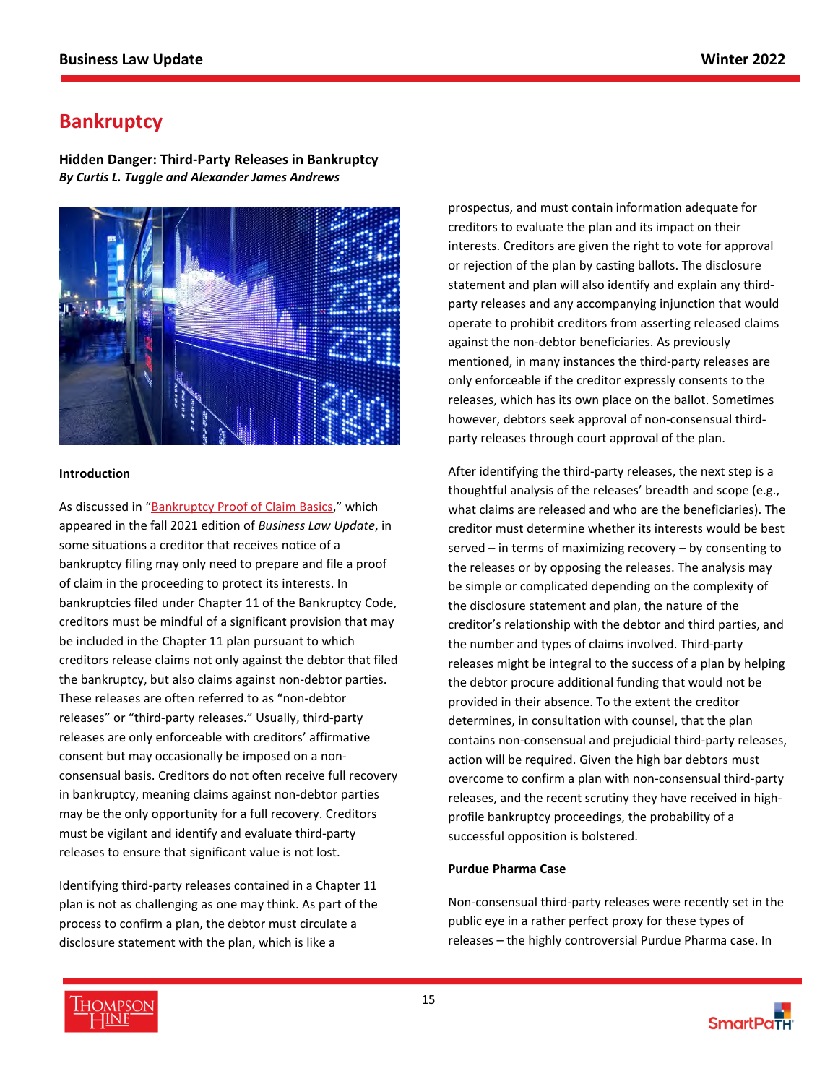# <span id="page-14-0"></span>**Bankruptcy**

**Hidden Danger: Third-Party Releases in Bankruptcy**  *By Curtis L. Tuggle and Alexander James Andrews* 



### **Introduction**

As discussed in "[Bankruptcy Proof of Claim Basics](https://www.thompsonhine.com/news/bankruptcy-proof-of-claim-basics)," which appeared in the fall 2021 edition of *Business Law Update*, in some situations a creditor that receives notice of a bankruptcy filing may only need to prepare and file a proof of claim in the proceeding to protect its interests. In bankruptcies filed under Chapter 11 of the Bankruptcy Code, creditors must be mindful of a significant provision that may be included in the Chapter 11 plan pursuant to which creditors release claims not only against the debtor that filed the bankruptcy, but also claims against non-debtor parties. These releases are often referred to as "non-debtor releases" or "third-party releases." Usually, third-party releases are only enforceable with creditors' affirmative consent but may occasionally be imposed on a nonconsensual basis. Creditors do not often receive full recovery in bankruptcy, meaning claims against non-debtor parties may be the only opportunity for a full recovery. Creditors must be vigilant and identify and evaluate third-party releases to ensure that significant value is not lost.

Identifying third-party releases contained in a Chapter 11 plan is not as challenging as one may think. As part of the process to confirm a plan, the debtor must circulate a disclosure statement with the plan, which is like a

prospectus, and must contain information adequate for creditors to evaluate the plan and its impact on their interests. Creditors are given the right to vote for approval or rejection of the plan by casting ballots. The disclosure statement and plan will also identify and explain any thirdparty releases and any accompanying injunction that would operate to prohibit creditors from asserting released claims against the non-debtor beneficiaries. As previously mentioned, in many instances the third-party releases are only enforceable if the creditor expressly consents to the releases, which has its own place on the ballot. Sometimes however, debtors seek approval of non-consensual thirdparty releases through court approval of the plan.

After identifying the third-party releases, the next step is a thoughtful analysis of the releases' breadth and scope (e.g., what claims are released and who are the beneficiaries). The creditor must determine whether its interests would be best served – in terms of maximizing recovery – by consenting to the releases or by opposing the releases. The analysis may be simple or complicated depending on the complexity of the disclosure statement and plan, the nature of the creditor's relationship with the debtor and third parties, and the number and types of claims involved. Third-party releases might be integral to the success of a plan by helping the debtor procure additional funding that would not be provided in their absence. To the extent the creditor determines, in consultation with counsel, that the plan contains non-consensual and prejudicial third-party releases, action will be required. Given the high bar debtors must overcome to confirm a plan with non-consensual third-party releases, and the recent scrutiny they have received in highprofile bankruptcy proceedings, the probability of a successful opposition is bolstered.

## **Purdue Pharma Case**

Non-consensual third-party releases were recently set in the public eye in a rather perfect proxy for these types of releases – the highly controversial Purdue Pharma case. In